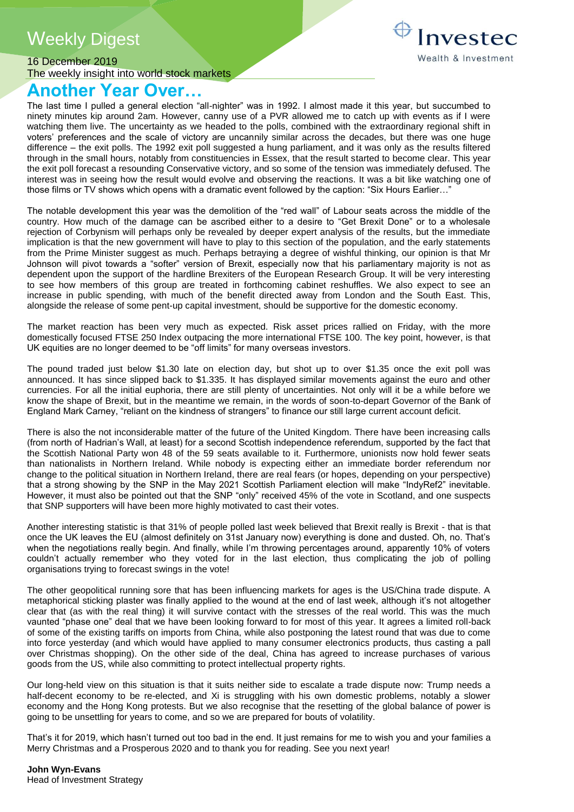# Weekly Digest



16 December 2019 The weekly insight into world stock markets

# **Another Year Over…**

The last time I pulled a general election "all-nighter" was in 1992. I almost made it this year, but succumbed to ninety minutes kip around 2am. However, canny use of a PVR allowed me to catch up with events as if I were watching them live. The uncertainty as we headed to the polls, combined with the extraordinary regional shift in voters' preferences and the scale of victory are uncannily similar across the decades, but there was one huge difference – the exit polls. The 1992 exit poll suggested a hung parliament, and it was only as the results filtered through in the small hours, notably from constituencies in Essex, that the result started to become clear. This year the exit poll forecast a resounding Conservative victory, and so some of the tension was immediately defused. The interest was in seeing how the result would evolve and observing the reactions. It was a bit like watching one of those films or TV shows which opens with a dramatic event followed by the caption: "Six Hours Earlier…"

The notable development this year was the demolition of the "red wall" of Labour seats across the middle of the country. How much of the damage can be ascribed either to a desire to "Get Brexit Done" or to a wholesale rejection of Corbynism will perhaps only be revealed by deeper expert analysis of the results, but the immediate implication is that the new government will have to play to this section of the population, and the early statements from the Prime Minister suggest as much. Perhaps betraying a degree of wishful thinking, our opinion is that Mr Johnson will pivot towards a "softer" version of Brexit, especially now that his parliamentary majority is not as dependent upon the support of the hardline Brexiters of the European Research Group. It will be very interesting to see how members of this group are treated in forthcoming cabinet reshuffles. We also expect to see an increase in public spending, with much of the benefit directed away from London and the South East. This, alongside the release of some pent-up capital investment, should be supportive for the domestic economy.

The market reaction has been very much as expected. Risk asset prices rallied on Friday, with the more domestically focused FTSE 250 Index outpacing the more international FTSE 100. The key point, however, is that UK equities are no longer deemed to be "off limits" for many overseas investors.

The pound traded just below \$1.30 late on election day, but shot up to over \$1.35 once the exit poll was announced. It has since slipped back to \$1.335. It has displayed similar movements against the euro and other currencies. For all the initial euphoria, there are still plenty of uncertainties. Not only will it be a while before we know the shape of Brexit, but in the meantime we remain, in the words of soon-to-depart Governor of the Bank of England Mark Carney, "reliant on the kindness of strangers" to finance our still large current account deficit.

There is also the not inconsiderable matter of the future of the United Kingdom. There have been increasing calls (from north of Hadrian's Wall, at least) for a second Scottish independence referendum, supported by the fact that the Scottish National Party won 48 of the 59 seats available to it. Furthermore, unionists now hold fewer seats than nationalists in Northern Ireland. While nobody is expecting either an immediate border referendum nor change to the political situation in Northern Ireland, there are real fears (or hopes, depending on your perspective) that a strong showing by the SNP in the May 2021 Scottish Parliament election will make "IndyRef2" inevitable. However, it must also be pointed out that the SNP "only" received 45% of the vote in Scotland, and one suspects that SNP supporters will have been more highly motivated to cast their votes.

Another interesting statistic is that 31% of people polled last week believed that Brexit really is Brexit - that is that once the UK leaves the EU (almost definitely on 31st January now) everything is done and dusted. Oh, no. That's when the negotiations really begin. And finally, while I'm throwing percentages around, apparently 10% of voters couldn't actually remember who they voted for in the last election, thus complicating the job of polling organisations trying to forecast swings in the vote!

The other geopolitical running sore that has been influencing markets for ages is the US/China trade dispute. A metaphorical sticking plaster was finally applied to the wound at the end of last week, although it's not altogether clear that (as with the real thing) it will survive contact with the stresses of the real world. This was the much vaunted "phase one" deal that we have been looking forward to for most of this year. It agrees a limited roll-back of some of the existing tariffs on imports from China, while also postponing the latest round that was due to come into force yesterday (and which would have applied to many consumer electronics products, thus casting a pall over Christmas shopping). On the other side of the deal, China has agreed to increase purchases of various goods from the US, while also committing to protect intellectual property rights.

Our long-held view on this situation is that it suits neither side to escalate a trade dispute now: Trump needs a half-decent economy to be re-elected, and Xi is struggling with his own domestic problems, notably a slower economy and the Hong Kong protests. But we also recognise that the resetting of the global balance of power is going to be unsettling for years to come, and so we are prepared for bouts of volatility.

That's it for 2019, which hasn't turned out too bad in the end. It just remains for me to wish you and your families a Merry Christmas and a Prosperous 2020 and to thank you for reading. See you next year!

**John Wyn-Evans** Head of Investment Strategy